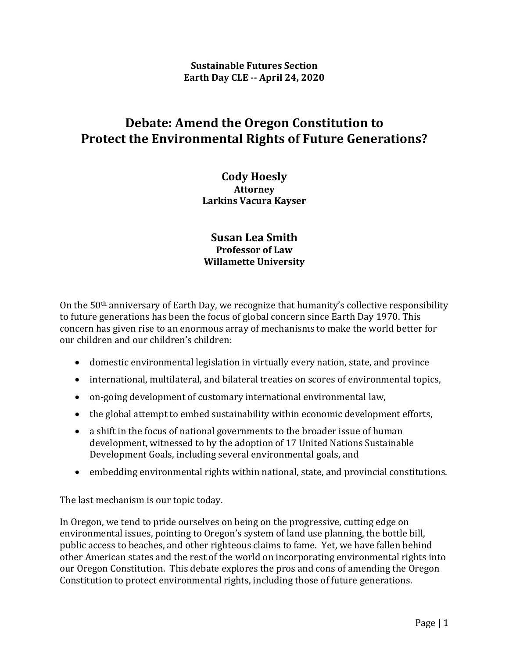**Sustainable Futures Section Earth Day CLE -- April 24, 2020**

# **Debate: Amend the Oregon Constitution to Protect the Environmental Rights of Future Generations?**

### **Cody Hoesly Attorney Larkins Vacura Kayser**

### **Susan Lea Smith Professor of Law Willamette University**

On the 50th anniversary of Earth Day, we recognize that humanity's collective responsibility to future generations has been the focus of global concern since Earth Day 1970. This concern has given rise to an enormous array of mechanisms to make the world better for our children and our children's children:

- domestic environmental legislation in virtually every nation, state, and province
- international, multilateral, and bilateral treaties on scores of environmental topics,
- on-going development of customary international environmental law,
- the global attempt to embed sustainability within economic development efforts,
- a shift in the focus of national governments to the broader issue of human development, witnessed to by the adoption of 17 United Nations Sustainable Development Goals, including several environmental goals, and
- embedding environmental rights within national, state, and provincial constitutions.

The last mechanism is our topic today.

In Oregon, we tend to pride ourselves on being on the progressive, cutting edge on environmental issues, pointing to Oregon's system of land use planning, the bottle bill, public access to beaches, and other righteous claims to fame. Yet, we have fallen behind other American states and the rest of the world on incorporating environmental rights into our Oregon Constitution. This debate explores the pros and cons of amending the Oregon Constitution to protect environmental rights, including those of future generations.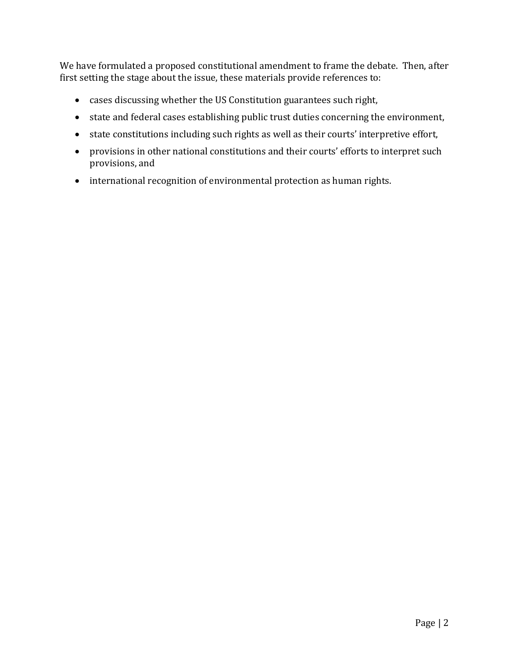We have formulated a proposed constitutional amendment to frame the debate. Then, after first setting the stage about the issue, these materials provide references to:

- cases discussing whether the US Constitution guarantees such right,
- state and federal cases establishing public trust duties concerning the environment,
- state constitutions including such rights as well as their courts' interpretive effort,
- provisions in other national constitutions and their courts' efforts to interpret such provisions, and
- international recognition of environmental protection as human rights.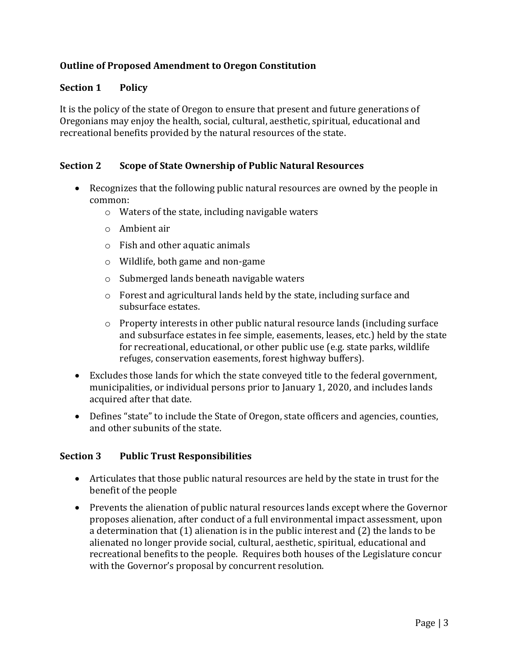#### **Outline of Proposed Amendment to Oregon Constitution**

#### **Section 1 Policy**

It is the policy of the state of Oregon to ensure that present and future generations of Oregonians may enjoy the health, social, cultural, aesthetic, spiritual, educational and recreational benefits provided by the natural resources of the state.

#### **Section 2 Scope of State Ownership of Public Natural Resources**

- Recognizes that the following public natural resources are owned by the people in common:
	- o Waters of the state, including navigable waters
	- o Ambient air
	- o Fish and other aquatic animals
	- o Wildlife, both game and non-game
	- o Submerged lands beneath navigable waters
	- o Forest and agricultural lands held by the state, including surface and subsurface estates.
	- o Property interests in other public natural resource lands (including surface and subsurface estates in fee simple, easements, leases, etc.) held by the state for recreational, educational, or other public use (e.g. state parks, wildlife refuges, conservation easements, forest highway buffers).
- Excludes those lands for which the state conveyed title to the federal government, municipalities, or individual persons prior to January 1, 2020, and includes lands acquired after that date.
- Defines "state" to include the State of Oregon, state officers and agencies, counties, and other subunits of the state.

#### **Section 3 Public Trust Responsibilities**

- Articulates that those public natural resources are held by the state in trust for the benefit of the people
- Prevents the alienation of public natural resources lands except where the Governor proposes alienation, after conduct of a full environmental impact assessment, upon a determination that (1) alienation is in the public interest and (2) the lands to be alienated no longer provide social, cultural, aesthetic, spiritual, educational and recreational benefits to the people. Requires both houses of the Legislature concur with the Governor's proposal by concurrent resolution.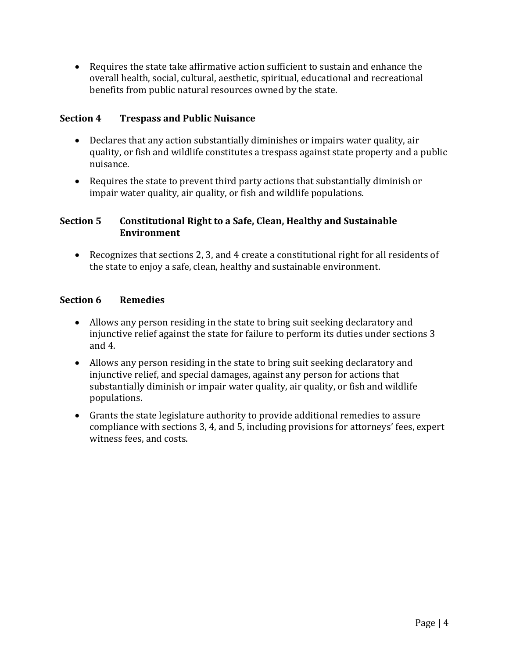• Requires the state take affirmative action sufficient to sustain and enhance the overall health, social, cultural, aesthetic, spiritual, educational and recreational benefits from public natural resources owned by the state.

#### **Section 4 Trespass and Public Nuisance**

- Declares that any action substantially diminishes or impairs water quality, air quality, or fish and wildlife constitutes a trespass against state property and a public nuisance.
- Requires the state to prevent third party actions that substantially diminish or impair water quality, air quality, or fish and wildlife populations.

#### **Section 5 Constitutional Right to a Safe, Clean, Healthy and Sustainable Environment**

• Recognizes that sections 2, 3, and 4 create a constitutional right for all residents of the state to enjoy a safe, clean, healthy and sustainable environment.

#### **Section 6 Remedies**

- Allows any person residing in the state to bring suit seeking declaratory and injunctive relief against the state for failure to perform its duties under sections 3 and 4.
- Allows any person residing in the state to bring suit seeking declaratory and injunctive relief, and special damages, against any person for actions that substantially diminish or impair water quality, air quality, or fish and wildlife populations.
- Grants the state legislature authority to provide additional remedies to assure compliance with sections 3, 4, and 5, including provisions for attorneys' fees, expert witness fees, and costs.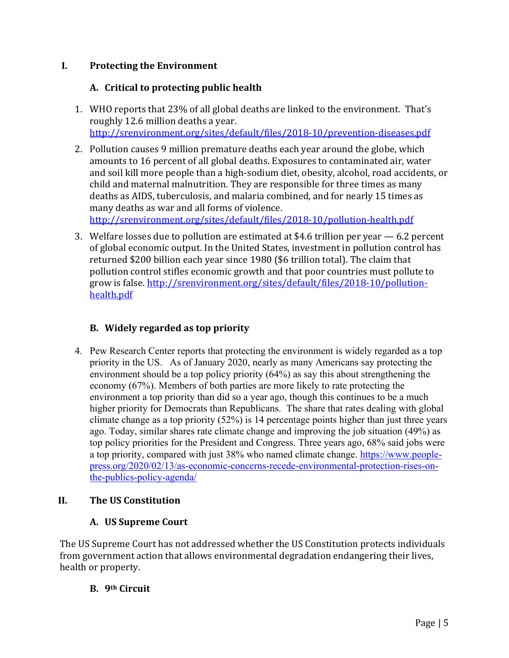### **I. Protecting the Environment**

### **A. Critical to protecting public health**

- 1. WHO reports that 23% of all global deaths are linked to the environment. That's roughly 12.6 million deaths a year. <http://srenvironment.org/sites/default/files/2018-10/prevention-diseases.pdf>
- 2. Pollution causes 9 million premature deaths each year around the globe, which amounts to 16 percent of all global deaths. Exposures to contaminated air, water and soil kill more people than a high-sodium diet, obesity, alcohol, road accidents, or child and maternal malnutrition. They are responsible for three times as many deaths as AIDS, tuberculosis, and malaria combined, and for nearly 15 times as many deaths as war and all forms of violence.

<http://srenvironment.org/sites/default/files/2018-10/pollution-health.pdf>

3. Welfare losses due to pollution are estimated at \$4.6 trillion per year — 6.2 percent of global economic output. In the United States, investment in pollution control has returned \$200 billion each year since 1980 (\$6 trillion total). The claim that pollution control stifles economic growth and that poor countries must pollute to grow is false. [http://srenvironment.org/sites/default/files/2018-10/pollution](http://srenvironment.org/sites/default/files/2018-10/pollution-health.pdf)[health.pdf](http://srenvironment.org/sites/default/files/2018-10/pollution-health.pdf)

# **B. Widely regarded as top priority**

4. Pew Research Center reports that protecting the environment is widely regarded as a top priority in the US. As of January 2020, nearly as many Americans say protecting the environment should be a top policy priority (64%) as say this about strengthening the economy (67%). Members of both parties are more likely to rate protecting the environment a top priority than did so a year ago, though this continues to be a much higher priority for Democrats than Republicans. The share that rates dealing with global climate change as a top priority (52%) is 14 percentage points higher than just three years ago. Today, similar shares rate climate change and improving the job situation (49%) as top policy priorities for the President and Congress. Three years ago, 68% said jobs were a top priority, compared with just 38% who named climate change. [https://www.people](https://www.people-press.org/2020/02/13/as-economic-concerns-recede-environmental-protection-rises-on-the-publics-policy-agenda/)[press.org/2020/02/13/as-economic-concerns-recede-environmental-protection-rises-on](https://www.people-press.org/2020/02/13/as-economic-concerns-recede-environmental-protection-rises-on-the-publics-policy-agenda/)[the-publics-policy-agenda/](https://www.people-press.org/2020/02/13/as-economic-concerns-recede-environmental-protection-rises-on-the-publics-policy-agenda/)

# **II. The US Constitution**

# **A. US Supreme Court**

The US Supreme Court has not addressed whether the US Constitution protects individuals from government action that allows environmental degradation endangering their lives, health or property.

### **B. 9th Circuit**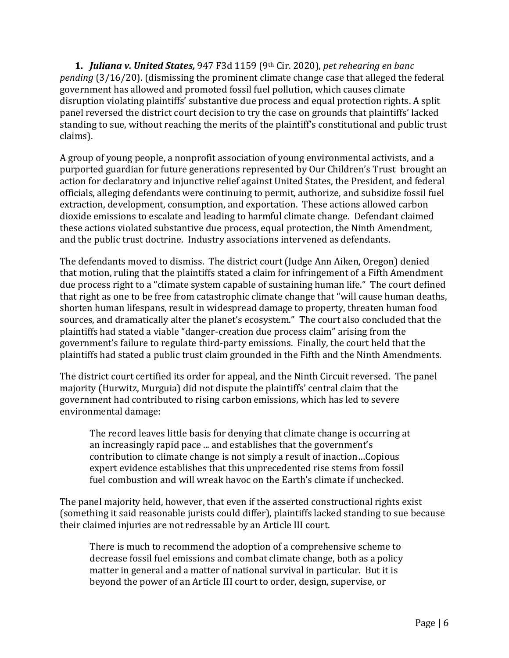**1.** *Juliana v. United States,* 947 F3d 1159 (9th Cir. 2020), *pet rehearing en banc pending* (3/16/20). (dismissing the prominent climate change case that alleged the federal government has allowed and promoted fossil fuel pollution, which causes climate disruption violating plaintiffs' substantive due process and equal protection rights. A split panel reversed the district court decision to try the case on grounds that plaintiffs' lacked standing to sue, without reaching the merits of the plaintiff's constitutional and public trust claims).

A group of young people, a nonprofit association of young environmental activists, and a purported guardian for future generations represented by Our Children's Trust brought an action for declaratory and injunctive relief against United States, the President, and federal officials, alleging defendants were continuing to permit, authorize, and subsidize fossil fuel extraction, development, consumption, and exportation. These actions allowed carbon dioxide emissions to escalate and leading to harmful climate change. Defendant claimed these actions violated substantive due process, equal protection, the Ninth Amendment, and the public trust doctrine. Industry associations intervened as defendants.

The defendants moved to dismiss. The district court (Judge Ann Aiken, Oregon) denied that motion, ruling that the plaintiffs stated a claim for infringement of a Fifth Amendment due process right to a "climate system capable of sustaining human life." The court defined that right as one to be free from catastrophic climate change that "will cause human deaths, shorten human lifespans, result in widespread damage to property, threaten human food sources, and dramatically alter the planet's ecosystem." The court also concluded that the plaintiffs had stated a viable "danger-creation due process claim" arising from the government's failure to regulate third-party emissions. Finally, the court held that the plaintiffs had stated a public trust claim grounded in the Fifth and the Ninth Amendments.

The district court certified its order for appeal, and the Ninth Circuit reversed. The panel majority (Hurwitz, Murguia) did not dispute the plaintiffs' central claim that the government had contributed to rising carbon emissions, which has led to severe environmental damage:

The record leaves little basis for denying that climate change is occurring at an increasingly rapid pace ... and establishes that the government's contribution to climate change is not simply a result of inaction…Copious expert evidence establishes that this unprecedented rise stems from fossil fuel combustion and will wreak havoc on the Earth's climate if unchecked.

The panel majority held, however, that even if the asserted constructional rights exist (something it said reasonable jurists could differ), plaintiffs lacked standing to sue because their claimed injuries are not redressable by an Article III court.

There is much to recommend the adoption of a comprehensive scheme to decrease fossil fuel emissions and combat climate change, both as a policy matter in general and a matter of national survival in particular. But it is beyond the power of an Article III court to order, design, supervise, or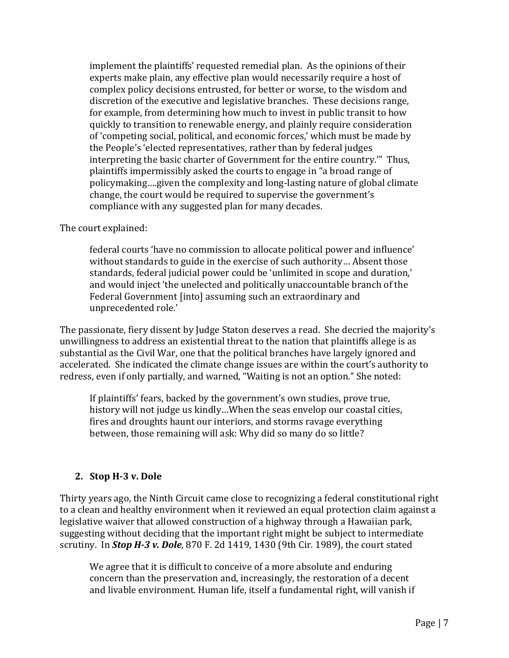implement the plaintiffs' requested remedial plan. As the opinions of their experts make plain, any effective plan would necessarily require a host of complex policy decisions entrusted, for better or worse, to the wisdom and discretion of the executive and legislative branches. These decisions range, for example, from determining how much to invest in public transit to how quickly to transition to renewable energy, and plainly require consideration of 'competing social, political, and economic forces,' which must be made by the People's 'elected representatives, rather than by federal judges interpreting the basic charter of Government for the entire country.'" Thus, plaintiffs impermissibly asked the courts to engage in "a broad range of policymaking….given the complexity and long-lasting nature of global climate change, the court would be required to supervise the government's compliance with any suggested plan for many decades.

The court explained:

federal courts 'have no commission to allocate political power and influence' without standards to guide in the exercise of such authority… Absent those standards, federal judicial power could be 'unlimited in scope and duration,' and would inject 'the unelected and politically unaccountable branch of the Federal Government [into] assuming such an extraordinary and unprecedented role.'

The passionate, fiery dissent by Judge Staton deserves a read. She decried the majority's unwillingness to address an existential threat to the nation that plaintiffs allege is as substantial as the Civil War, one that the political branches have largely ignored and accelerated. She indicated the climate change issues are within the court's authority to redress, even if only partially, and warned, "Waiting is not an option." She noted:

If plaintiffs' fears, backed by the government's own studies, prove true, history will not judge us kindly…When the seas envelop our coastal cities, fires and droughts haunt our interiors, and storms ravage everything between, those remaining will ask: Why did so many do so little?

### **2. Stop H-3 v. Dole**

Thirty years ago, the Ninth Circuit came close to recognizing a federal constitutional right to a clean and healthy environment when it reviewed an equal protection claim against a legislative waiver that allowed construction of a highway through a Hawaiian park, suggesting without deciding that the important right might be subject to intermediate scrutiny. In *Stop H-3 v. Dole,* 870 F. 2d 1419, 1430 (9th Cir. 1989), the court stated

We agree that it is difficult to conceive of a more absolute and enduring concern than the preservation and, increasingly, the restoration of a decent and livable environment. Human life, itself a fundamental right, will vanish if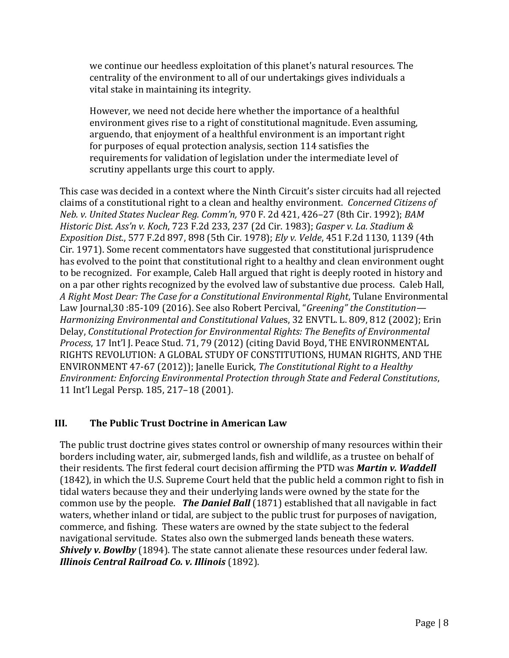we continue our heedless exploitation of this planet's natural resources. The centrality of the environment to all of our undertakings gives individuals a vital stake in maintaining its integrity.

However, we need not decide here whether the importance of a healthful environment gives rise to a right of constitutional magnitude. Even assuming, arguendo, that enjoyment of a healthful environment is an important right for purposes of equal protection analysis, section 114 satisfies the requirements for validation of legislation under the intermediate level of scrutiny appellants urge this court to apply.

This case was decided in a context where the Ninth Circuit's sister circuits had all rejected claims of a constitutional right to a clean and healthy environment. *Concerned Citizens of Neb. v. United States Nuclear Reg. Comm'n,* 970 F. 2d 421, 426–27 (8th Cir. 1992); *BAM Historic Dist. Ass'n v. Koch*, 723 F.2d 233, 237 (2d Cir. 1983); *Gasper v. La. Stadium & Exposition Dist*., 577 F.2d 897, 898 (5th Cir. 1978); *Ely v. Velde*, 451 F.2d 1130, 1139 (4th Cir. 1971). Some recent commentators have suggested that constitutional jurisprudence has evolved to the point that constitutional right to a healthy and clean environment ought to be recognized. For example, Caleb Hall argued that right is deeply rooted in history and on a par other rights recognized by the evolved law of substantive due process. Caleb Hall, *A Right Most Dear: The Case for a Constitutional Environmental Right*, Tulane Environmental Law Journal,30 :85-109 (2016). See also Robert Percival, "*Greening" the Constitution— Harmonizing Environmental and Constitutional Value*s, 32 ENVTL. L. 809, 812 (2002); Erin Delay, *Constitutional Protection for Environmental Rights: The Benefits of Environmental Process*, 17 Int'l J. Peace Stud. 71, 79 (2012) (citing David Boyd, THE ENVIRONMENTAL RIGHTS REVOLUTION: A GLOBAL STUDY OF CONSTITUTIONS, HUMAN RIGHTS, AND THE ENVIRONMENT 47-67 (2012)); Janelle Eurick*, The Constitutional Right to a Healthy Environment: Enforcing Environmental Protection through State and Federal Constitutions*, 11 Int'l Legal Persp. 185, 217–18 (2001).

### **III. The Public Trust Doctrine in American Law**

The public trust doctrine gives states control or ownership of many resources within their borders including water, air, submerged lands, fish and wildlife, as a trustee on behalf of their residents. The first federal court decision affirming the PTD was *Martin v. Waddell* (1842), in which the U.S. Supreme Court held that the public held a common right to fish in tidal waters because they and their underlying lands were owned by the state for the common use by the people. *The Daniel Ball* (1871) established that all navigable in fact waters, whether inland or tidal, are subject to the public trust for purposes of navigation, commerce, and fishing. These waters are owned by the state subject to the federal navigational servitude. States also own the submerged lands beneath these waters. *Shively v. Bowlby* (1894). The state cannot alienate these resources under federal law. *Illinois Central Railroad Co. v. Illinois* (1892).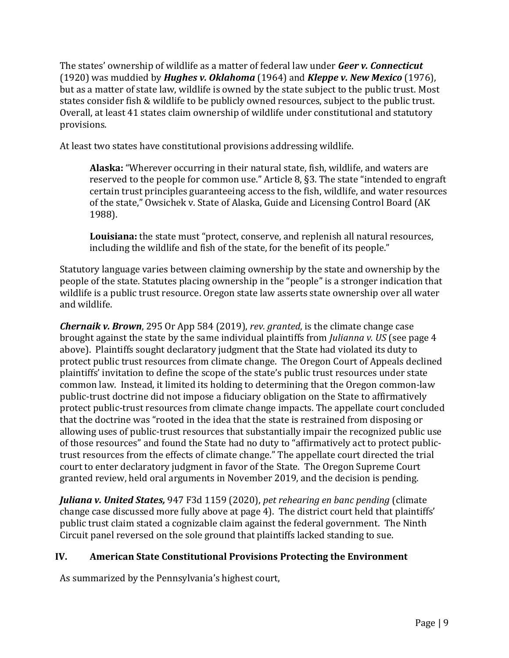The states' ownership of wildlife as a matter of federal law under *Geer v. Connecticut*  (1920) was muddied by *Hughes v. Oklahoma* (1964) and *Kleppe v. New Mexico* (1976), but as a matter of state law, wildlife is owned by the state subject to the public trust. Most states consider fish & wildlife to be publicly owned resources, subject to the public trust. Overall, at least 41 states claim ownership of wildlife under constitutional and statutory provisions.

At least two states have constitutional provisions addressing wildlife.

**Alaska:** "Wherever occurring in their natural state, fish, wildlife, and waters are reserved to the people for common use." Article 8, §3. The state "intended to engraft certain trust principles guaranteeing access to the fish, wildlife, and water resources of the state," Owsichek v. State of Alaska, Guide and Licensing Control Board (AK 1988).

**Louisiana:** the state must "protect, conserve, and replenish all natural resources, including the wildlife and fish of the state, for the benefit of its people."

Statutory language varies between claiming ownership by the state and ownership by the people of the state. Statutes placing ownership in the "people" is a stronger indication that wildlife is a public trust resource. Oregon state law asserts state ownership over all water and wildlife.

*Chernaik v. Brown*, 295 Or App 584 (2019), *rev. granted*, is the climate change case brought against the state by the same individual plaintiffs from *Julianna v. US* (see page 4 above). Plaintiffs sought declaratory judgment that the State had violated its duty to protect public trust resources from climate change. The Oregon Court of Appeals declined plaintiffs' invitation to define the scope of the state's public trust resources under state common law. Instead, it limited its holding to determining that the Oregon common-law public-trust doctrine did not impose a fiduciary obligation on the State to affirmatively protect public-trust resources from climate change impacts. The appellate court concluded that the doctrine was "rooted in the idea that the state is restrained from disposing or allowing uses of public-trust resources that substantially impair the recognized public use of those resources" and found the State had no duty to "affirmatively act to protect publictrust resources from the effects of climate change." The appellate court directed the trial court to enter declaratory judgment in favor of the State. The Oregon Supreme Court granted review, held oral arguments in November 2019, and the decision is pending.

*Juliana v. United States,* 947 F3d 1159 (2020), *pet rehearing en banc pending* (climate change case discussed more fully above at page 4). The district court held that plaintiffs' public trust claim stated a cognizable claim against the federal government. The Ninth Circuit panel reversed on the sole ground that plaintiffs lacked standing to sue.

### **IV. American State Constitutional Provisions Protecting the Environment**

As summarized by the Pennsylvania's highest court,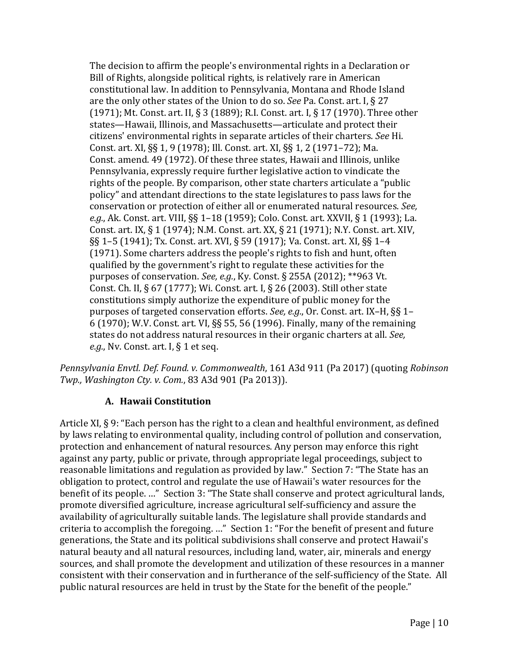The decision to affirm the people's environmental rights in a Declaration or Bill of Rights, alongside political rights, is relatively rare in American constitutional law. In addition to Pennsylvania, Montana and Rhode Island are the only other states of the Union to do so. *See* Pa. Const. art. I, § 27 (1971); Mt. Const. art. II, § 3 (1889); R.I. Const. art. I, § 17 (1970). Three other states—Hawaii, Illinois, and Massachusetts—articulate and protect their citizens' environmental rights in separate articles of their charters. *See* Hi. Const. art. XI, §§ 1, 9 (1978); Ill. Const. art. XI, §§ 1, 2 (1971–72); Ma. Const. amend. 49 (1972). Of these three states, Hawaii and Illinois, unlike Pennsylvania, expressly require further legislative action to vindicate the rights of the people. By comparison, other state charters articulate a "public policy" and attendant directions to the state legislatures to pass laws for the conservation or protection of either all or enumerated natural resources. *See, e.g.*, Ak. Const. art. VIII, §§ 1–18 (1959); Colo. Const. art. XXVII, § 1 (1993); La. Const. art. IX, § 1 (1974); N.M. Const. art. XX, § 21 (1971); N.Y. Const. art. XIV, §§ 1–5 (1941); Tx. Const. art. XVI, § 59 (1917); Va. Const. art. XI, §§ 1–4 (1971). Some charters address the people's rights to fish and hunt, often qualified by the government's right to regulate these activities for the purposes of conservation. *See, e.g.*, Ky. Const. § 255A (2012); \*\*963 Vt. Const. Ch. II, § 67 (1777); Wi. Const. art. I, § 26 (2003). Still other state constitutions simply authorize the expenditure of public money for the purposes of targeted conservation efforts. *See, e.g.*, Or. Const. art. IX–H, §§ 1– 6 (1970); W.V. Const. art. VI, §§ 55, 56 (1996). Finally, many of the remaining states do not address natural resources in their organic charters at all. *See, e.g.*, Nv. Const. art. I, § 1 et seq.

*Pennsylvania Envtl. Def. Found. v. Commonwealth*, 161 A3d 911 (Pa 2017) (quoting *Robinson Twp., Washington Cty. v. Com.*, 83 A3d 901 (Pa 2013)).

### **A. Hawaii Constitution**

Article XI, § 9: "Each person has the right to a clean and healthful environment, as defined by laws relating to environmental quality, including control of pollution and conservation, protection and enhancement of natural resources. Any person may enforce this right against any party, public or private, through appropriate legal proceedings, subject to reasonable limitations and regulation as provided by law." Section 7: "The State has an obligation to protect, control and regulate the use of Hawaii's water resources for the benefit of its people. …" Section 3: "The State shall conserve and protect agricultural lands, promote diversified agriculture, increase agricultural self-sufficiency and assure the availability of agriculturally suitable lands. The legislature shall provide standards and criteria to accomplish the foregoing. …" Section 1: "For the benefit of present and future generations, the State and its political subdivisions shall conserve and protect Hawaii's natural beauty and all natural resources, including land, water, air, minerals and energy sources, and shall promote the development and utilization of these resources in a manner consistent with their conservation and in furtherance of the self-sufficiency of the State. All public natural resources are held in trust by the State for the benefit of the people."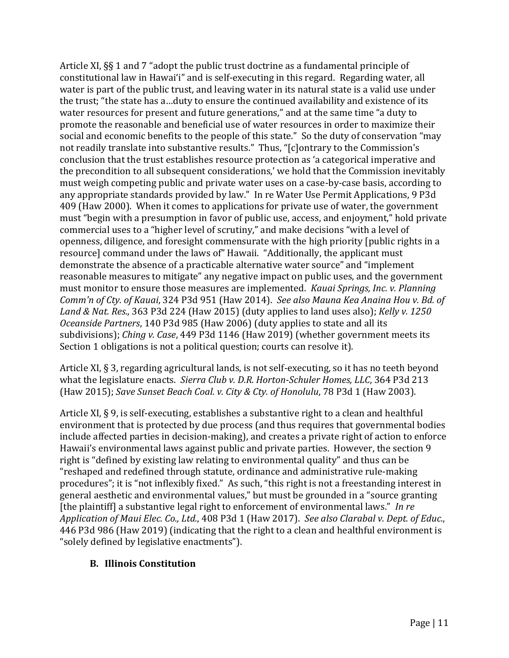Article XI, §§ 1 and 7 "adopt the public trust doctrine as a fundamental principle of constitutional law in Hawai'i" and is self-executing in this regard. Regarding water, all water is part of the public trust, and leaving water in its natural state is a valid use under the trust; "the state has a…duty to ensure the continued availability and existence of its water resources for present and future generations," and at the same time "a duty to promote the reasonable and beneficial use of water resources in order to maximize their social and economic benefits to the people of this state." So the duty of conservation "may not readily translate into substantive results." Thus, "[c]ontrary to the Commission's conclusion that the trust establishes resource protection as 'a categorical imperative and the precondition to all subsequent considerations,' we hold that the Commission inevitably must weigh competing public and private water uses on a case-by-case basis, according to any appropriate standards provided by law." In re Water Use Permit Applications, 9 P3d 409 (Haw 2000). When it comes to applications for private use of water, the government must "begin with a presumption in favor of public use, access, and enjoyment," hold private commercial uses to a "higher level of scrutiny," and make decisions "with a level of openness, diligence, and foresight commensurate with the high priority [public rights in a resource] command under the laws of" Hawaii. "Additionally, the applicant must demonstrate the absence of a practicable alternative water source" and "implement reasonable measures to mitigate" any negative impact on public uses, and the government must monitor to ensure those measures are implemented. *Kauai Springs, Inc. v. Planning Comm'n of Cty. of Kauai*, 324 P3d 951 (Haw 2014). *See also Mauna Kea Anaina Hou v. Bd. of Land & Nat. Res.*, 363 P3d 224 (Haw 2015) (duty applies to land uses also); *Kelly v. 1250 Oceanside Partners*, 140 P3d 985 (Haw 2006) (duty applies to state and all its subdivisions); *Ching v. Case*, 449 P3d 1146 (Haw 2019) (whether government meets its Section 1 obligations is not a political question; courts can resolve it).

Article XI, § 3, regarding agricultural lands, is not self-executing, so it has no teeth beyond what the legislature enacts. *Sierra Club v. D.R. Horton-Schuler Homes, LLC*, 364 P3d 213 (Haw 2015); *Save Sunset Beach Coal. v. City & Cty. of Honolulu*, 78 P3d 1 (Haw 2003).

Article XI, § 9, is self-executing, establishes a substantive right to a clean and healthful environment that is protected by due process (and thus requires that governmental bodies include affected parties in decision-making), and creates a private right of action to enforce Hawaii's environmental laws against public and private parties. However, the section 9 right is "defined by existing law relating to environmental quality" and thus can be "reshaped and redefined through statute, ordinance and administrative rule-making procedures"; it is "not inflexibly fixed." As such, "this right is not a freestanding interest in general aesthetic and environmental values," but must be grounded in a "source granting [the plaintiff] a substantive legal right to enforcement of environmental laws." *In re Application of Maui Elec. Co., Ltd.*, 408 P3d 1 (Haw 2017). *See also Clarabal v. Dept. of Educ.*, 446 P3d 986 (Haw 2019) (indicating that the right to a clean and healthful environment is "solely defined by legislative enactments").

### **B. Illinois Constitution**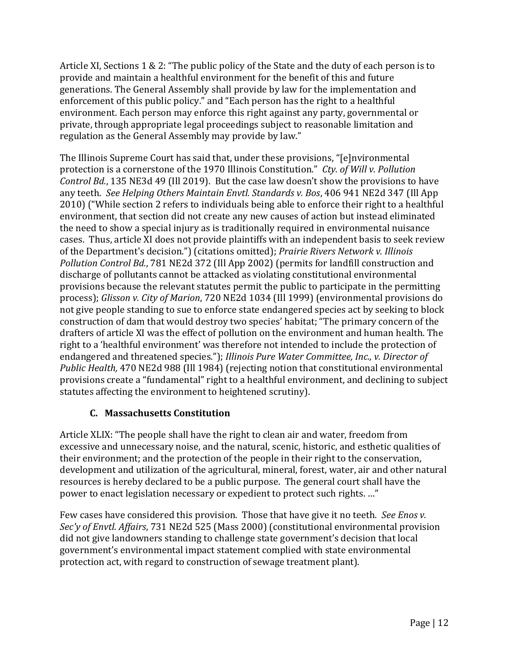Article XI, Sections 1 & 2: "The public policy of the State and the duty of each person is to provide and maintain a healthful environment for the benefit of this and future generations. The General Assembly shall provide by law for the implementation and enforcement of this public policy." and "Each person has the right to a healthful environment. Each person may enforce this right against any party, governmental or private, through appropriate legal proceedings subject to reasonable limitation and regulation as the General Assembly may provide by law."

The Illinois Supreme Court has said that, under these provisions, "[e]nvironmental protection is a cornerstone of the 1970 Illinois Constitution." *Cty. of Will v. Pollution Control Bd.*, 135 NE3d 49 (Ill 2019). But the case law doesn't show the provisions to have any teeth. *See Helping Others Maintain Envtl. Standards v. Bos*, 406 941 NE2d 347 (Ill App 2010) ("While section 2 refers to individuals being able to enforce their right to a healthful environment, that section did not create any new causes of action but instead eliminated the need to show a special injury as is traditionally required in environmental nuisance cases. Thus, article XI does not provide plaintiffs with an independent basis to seek review of the Department's decision.") (citations omitted); *Prairie Rivers Network v. Illinois Pollution Control Bd.*, 781 NE2d 372 (Ill App 2002) (permits for landfill construction and discharge of pollutants cannot be attacked as violating constitutional environmental provisions because the relevant statutes permit the public to participate in the permitting process); *Glisson v. City of Marion*, 720 NE2d 1034 (Ill 1999) (environmental provisions do not give people standing to sue to enforce state endangered species act by seeking to block construction of dam that would destroy two species' habitat; "The primary concern of the drafters of [article](https://1.next.westlaw.com/Link/Document/FullText?findType=L&pubNum=1000008&cite=ILCNART11S2&originatingDoc=I9f59ec5fd3a711d9bf60c1d57ebc853e&refType=LQ&originationContext=document&transitionType=DocumentItem&contextData=(sc.Keycite)) XI was the effect of pollution on the environment and human health. The right to a 'healthful environment' was therefore not intended to include the protection of endangered and threatened species."); *Illinois Pure Water Committee, Inc., v. Director of Public Health,* 470 NE2d 988 (Ill 1984) (rejecting notion that constitutional environmental provisions create a "fundamental" right to a healthful environment, and declining to subject statutes affecting the environment to heightened scrutiny).

### **C. Massachusetts Constitution**

Article XLIX: "The people shall have the right to clean air and water, freedom from excessive and unnecessary noise, and the natural, scenic, historic, and esthetic qualities of their environment; and the protection of the people in their right to the conservation, development and utilization of the agricultural, mineral, forest, water, air and other natural resources is hereby declared to be a public purpose. The general court shall have the power to enact legislation necessary or expedient to protect such rights. …"

Few cases have considered this provision. Those that have give it no teeth. *See Enos v. Sec'y of Envtl. Affairs*, 731 NE2d 525 (Mass 2000) (constitutional environmental provision did not give landowners standing to challenge state government's decision that local government's environmental impact statement complied with state environmental protection act, with regard to construction of sewage treatment plant).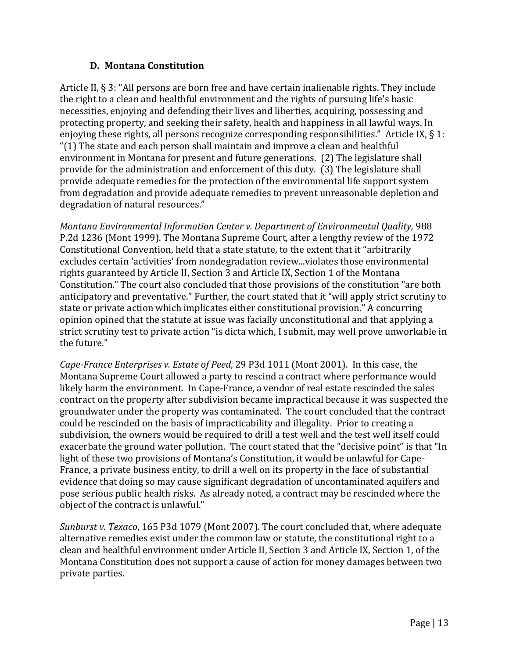#### **D. Montana Constitution**

Article II, § 3: "All persons are born free and have certain inalienable rights. They include the right to a clean and healthful environment and the rights of pursuing life's basic necessities, enjoying and defending their lives and liberties, acquiring, possessing and protecting property, and seeking their safety, health and happiness in all lawful ways. In enjoying these rights, all persons recognize corresponding responsibilities." Article IX, § 1: "(1) The state and each person shall maintain and improve a clean and healthful environment in Montana for present and future generations. (2) The legislature shall provide for the administration and enforcement of this duty. (3) The legislature shall provide adequate remedies for the protection of the environmental life support system from degradation and provide adequate remedies to prevent unreasonable depletion and degradation of natural resources."

*Montana Environmental Information Center v. Department of Environmental Quality,* 988 P.2d 1236 (Mont 1999). The Montana Supreme Court, after a lengthy review of the 1972 Constitutional Convention, held that a state statute, to the extent that it "arbitrarily excludes certain 'activities' from nondegradation review...violates those environmental rights guaranteed by Article II, Section 3 and Article IX, Section 1 of the Montana Constitution." The court also concluded that those provisions of the constitution "are both anticipatory and preventative." Further, the court stated that it "will apply strict scrutiny to state or private action which implicates either constitutional provision." A concurring opinion opined that the statute at issue was facially unconstitutional and that applying a strict scrutiny test to private action "is dicta which, I submit, may well prove unworkable in the future."

*Cape-France Enterprises v. Estate of Peed*, 29 P3d 1011 (Mont 2001). In this case, the Montana Supreme Court allowed a party to rescind a contract where performance would likely harm the environment. In Cape-France, a vendor of real estate rescinded the sales contract on the property after subdivision became impractical because it was suspected the groundwater under the property was contaminated. The court concluded that the contract could be rescinded on the basis of impracticability and illegality. Prior to creating a subdivision, the owners would be required to drill a test well and the test well itself could exacerbate the ground water pollution. The court stated that the "decisive point" is that "In light of these two provisions of Montana's Constitution, it would be unlawful for Cape-France, a private business entity, to drill a well on its property in the face of substantial evidence that doing so may cause significant degradation of uncontaminated aquifers and pose serious public health risks. As already noted, a contract may be rescinded where the object of the contract is unlawful."

*Sunburst v. Texaco*, 165 P3d 1079 (Mont 2007). The court concluded that, where adequate alternative remedies exist under the common law or statute, the constitutional right to a clean and healthful environment under Article II, Section 3 and Article IX, Section 1, of the Montana Constitution does not support a cause of action for money damages between two private parties.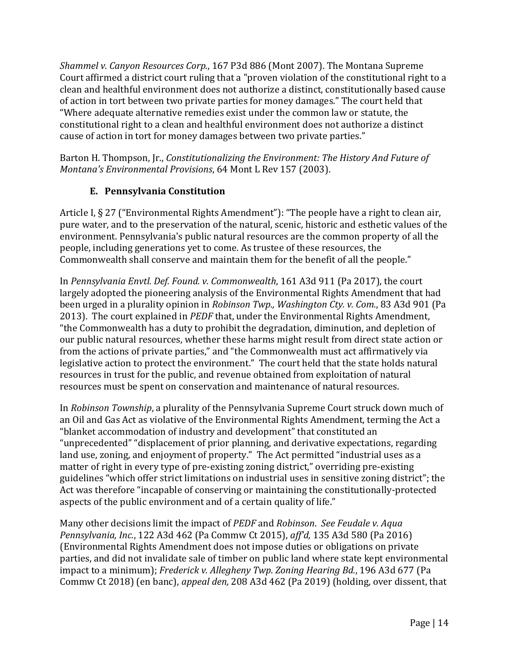*Shammel v. Canyon Resources Corp.*, 167 P3d 886 (Mont 2007). The Montana Supreme Court affirmed a district court ruling that a "proven violation of the constitutional right to a clean and healthful environment does not authorize a distinct, constitutionally based cause of action in tort between two private parties for money damages." The court held that "Where adequate alternative remedies exist under the common law or statute, the constitutional right to a clean and healthful environment does not authorize a distinct cause of action in tort for money damages between two private parties."

Barton H. Thompson, Jr., *Constitutionalizing the Environment: The History And Future of Montana's Environmental Provisions*, 64 Mont L Rev 157 (2003).

# **E. Pennsylvania Constitution**

Article I, § 27 ("Environmental Rights Amendment"): "The people have a right to clean air, pure water, and to the preservation of the natural, scenic, historic and esthetic values of the environment. Pennsylvania's public natural resources are the common property of all the people, including generations yet to come. As trustee of these resources, the Commonwealth shall conserve and maintain them for the benefit of all the people."

In *Pennsylvania Envtl. Def. Found. v. Commonwealth*, 161 A3d 911 (Pa 2017), the court largely adopted the pioneering analysis of the Environmental Rights Amendment that had been urged in a plurality opinion in *Robinson Twp., Washington Cty. v. Com.*, 83 A3d 901 (Pa 2013). The court explained in *PEDF* that, under the Environmental Rights Amendment, "the Commonwealth has a duty to prohibit the degradation, diminution, and depletion of our public natural resources, whether these harms might result from direct state action or from the actions of private parties," and "the Commonwealth must act affirmatively via legislative action to protect the environment." The court held that the state holds natural resources in trust for the public, and revenue obtained from exploitation of natural resources must be spent on conservation and maintenance of natural resources.

In *Robinson Township*, a plurality of the Pennsylvania Supreme Court struck down much of an Oil and Gas Act as violative of the Environmental Rights Amendment, terming the Act a "blanket accommodation of industry and development" that constituted an "unprecedented" "displacement of prior planning, and derivative expectations, regarding land use, zoning, and enjoyment of property." The Act permitted "industrial uses as a matter of right in every type of pre-existing zoning district," overriding pre-existing guidelines "which offer strict limitations on industrial uses in sensitive zoning district"; the Act was therefore "incapable of conserving or maintaining the constitutionally-protected aspects of the public environment and of a certain quality of life."

Many other decisions limit the impact of *PEDF* and *Robinson*. *See Feudale v. Aqua Pennsylvania, Inc.*, 122 A3d 462 (Pa Commw Ct 2015), *aff'd,* 135 A3d 580 (Pa 2016) (Environmental Rights Amendment does not impose duties or obligations on private parties, and did not invalidate sale of timber on public land where state kept environmental impact to a minimum); *Frederick v. Allegheny Twp. Zoning Hearing Bd.*, 196 A3d 677 (Pa Commw Ct 2018) (en banc), *appeal den,* 208 A3d 462 (Pa 2019) (holding, over dissent, that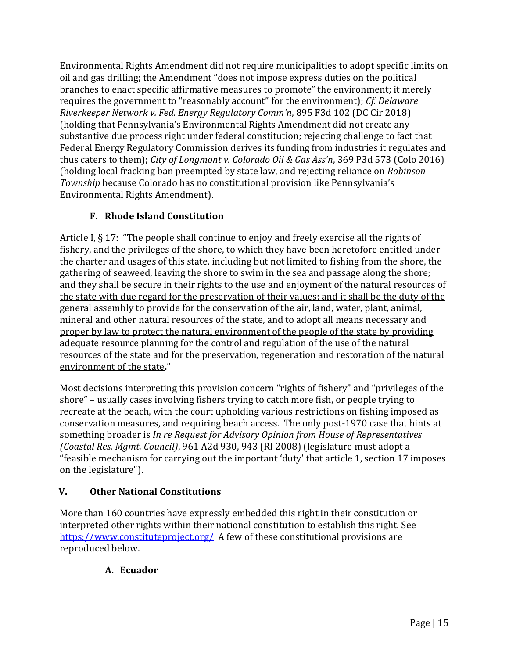Environmental Rights Amendment did not require municipalities to adopt specific limits on oil and gas drilling; the Amendment "does not impose express duties on the political branches to enact specific affirmative measures to promote" the environment; it merely requires the government to "reasonably account" for the environment); *Cf. Delaware Riverkeeper Network v. Fed. Energy Regulatory Comm'n*, 895 F3d 102 (DC Cir 2018) (holding that Pennsylvania's Environmental Rights Amendment did not create any substantive due process right under federal constitution; rejecting challenge to fact that Federal Energy Regulatory Commission derives its funding from industries it regulates and thus caters to them); *City of Longmont v. Colorado Oil & Gas Ass'n*, 369 P3d 573 (Colo 2016) (holding local fracking ban preempted by state law, and rejecting reliance on *Robinson Township* because Colorado has no constitutional provision like Pennsylvania's Environmental Rights Amendment).

# **F. Rhode Island Constitution**

Article I, § 17: "The people shall continue to enjoy and freely exercise all the rights of fishery, and the privileges of the shore, to which they have been heretofore entitled under the charter and usages of this state, including but not limited to fishing from the shore, the gathering of seaweed, leaving the shore to swim in the sea and passage along the shore; and they shall be secure in their rights to the use and enjoyment of the natural resources of the state with due regard for the preservation of their values; and it shall be the duty of the general assembly to provide for the conservation of the air, land, water, plant, animal, mineral and other natural resources of the state, and to adopt all means necessary and proper by law to protect the natural environment of the people of the state by providing adequate resource planning for the control and regulation of the use of the natural resources of the state and for the preservation, regeneration and restoration of the natural environment of the state**.**"

Most decisions interpreting this provision concern "rights of fishery" and "privileges of the shore" – usually cases involving fishers trying to catch more fish, or people trying to recreate at the beach, with the court upholding various restrictions on fishing imposed as conservation measures, and requiring beach access. The only post-1970 case that hints at something broader is *In re Request for Advisory Opinion from House of Representatives (Coastal Res. Mgmt. Council)*, 961 A2d 930, 943 (RI 2008) (legislature must adopt a "feasible mechanism for carrying out the important 'duty' that article 1, section 17 imposes on the legislature").

# **V. Other National Constitutions**

More than 160 countries have expressly embedded this right in their constitution or interpreted other rights within their national constitution to establish this right. See <https://www.constituteproject.org/>A few of these constitutional provisions are reproduced below.

# **A. Ecuador**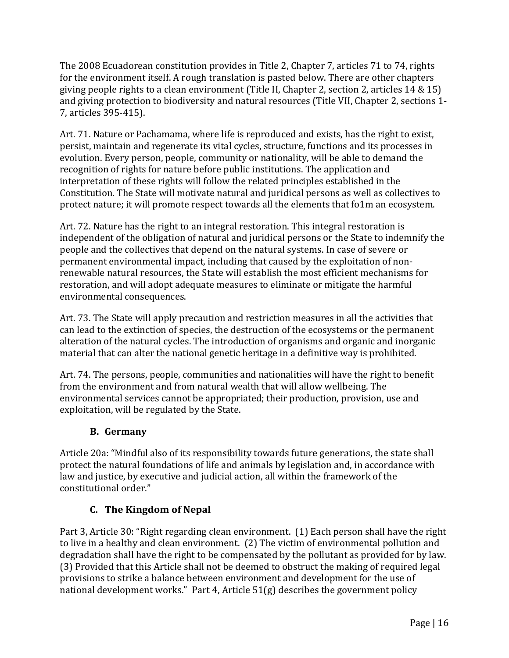The 2008 Ecuadorean constitution provides in Title 2, Chapter 7, articles 71 to 74, rights for the environment itself. A rough translation is pasted below. There are other chapters giving people rights to a clean environment (Title II, Chapter 2, section 2, articles 14 & 15) and giving protection to biodiversity and natural resources (Title VII, Chapter 2, sections 1- 7, articles 395-415).

Art. 71. Nature or Pachamama, where life is reproduced and exists, has the right to exist, persist, maintain and regenerate its vital cycles, structure, functions and its processes in evolution. Every person, people, community or nationality, will be able to demand the recognition of rights for nature before public institutions. The application and interpretation of these rights will follow the related principles established in the Constitution. The State will motivate natural and juridical persons as well as collectives to protect nature; it will promote respect towards all the elements that fo1m an ecosystem.

Art. 72. Nature has the right to an integral restoration. This integral restoration is independent of the obligation of natural and juridical persons or the State to indemnify the people and the collectives that depend on the natural systems. In case of severe or permanent environmental impact, including that caused by the exploitation of nonrenewable natural resources, the State will establish the most efficient mechanisms for restoration, and will adopt adequate measures to eliminate or mitigate the harmful environmental consequences.

Art. 73. The State will apply precaution and restriction measures in all the activities that can lead to the extinction of species, the destruction of the ecosystems or the permanent alteration of the natural cycles. The introduction of organisms and organic and inorganic material that can alter the national genetic heritage in a definitive way is prohibited.

Art. 74. The persons, people, communities and nationalities will have the right to benefit from the environment and from natural wealth that will allow wellbeing. The environmental services cannot be appropriated; their production, provision, use and exploitation, will be regulated by the State.

# **B. Germany**

Article 20a: "Mindful also of its responsibility towards future generations, the state shall protect the natural foundations of life and animals by legislation and, in accordance with law and justice, by executive and judicial action, all within the framework of the constitutional order."

# **C. The Kingdom of Nepal**

Part 3, Article 30: "Right regarding clean environment. (1) Each person shall have the right to live in a healthy and clean environment. (2) The victim of environmental pollution and degradation shall have the right to be compensated by the pollutant as provided for by law. (3) Provided that this Article shall not be deemed to obstruct the making of required legal provisions to strike a balance between environment and development for the use of national development works." Part 4, Article 51(g) describes the government policy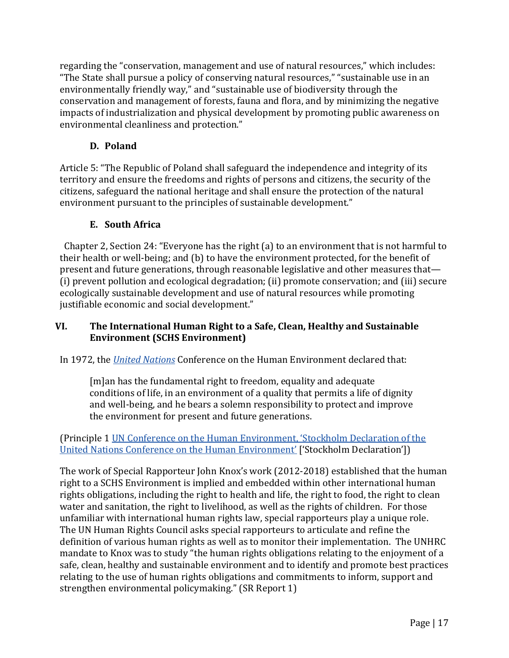regarding the "conservation, management and use of natural resources," which includes: "The State shall pursue a policy of conserving natural resources," "sustainable use in an environmentally friendly way," and "sustainable use of biodiversity through the conservation and management of forests, fauna and flora, and by minimizing the negative impacts of industrialization and physical development by promoting public awareness on environmental cleanliness and protection."

# **D. Poland**

Article 5: "The Republic of Poland shall safeguard the independence and integrity of its territory and ensure the freedoms and rights of persons and citizens, the security of the citizens, safeguard the national heritage and shall ensure the protection of the natural environment pursuant to the principles of sustainable development."

# **E. South Africa**

 Chapter 2, Section 24: "Everyone has the right (a) to an environment that is not harmful to their health or well-being; and (b) to have the environment protected, for the benefit of present and future generations, through reasonable legislative and other measures that— (i) prevent pollution and ecological degradation; (ii) promote conservation; and (iii) secure ecologically sustainable development and use of natural resources while promoting justifiable economic and social development."

### **VI. The International Human Right to a Safe, Clean, Healthy and Sustainable Environment (SCHS Environment)**

In 1972, the *[United Nations](https://opil-ouplaw-com.ezproxy.app.willamette.edu/view/10.1093/law:epil/9780199231690/law-9780199231690-e1948?rskey=Ouqfcq&result=18&prd=MPIL)* Conference on the Human Environment declared that:

[m]an has the fundamental right to freedom, equality and adequate conditions of life, in an environment of a quality that permits a life of dignity and well-being, and he bears a solemn responsibility to protect and improve the environment for present and future generations.

### (Principle 1 [UN Conference on the Human Environment, 'Stockholm Declaration of the](https://opil-ouplaw-com.ezproxy.app.willamette.edu/view/10.1093/law:epil/9780199231690/law-9780199231690-e1948?rskey=Ouqfcq&result=18&prd=MPIL)  [United Nations Conference on the Human Environment'](https://opil-ouplaw-com.ezproxy.app.willamette.edu/view/10.1093/law:epil/9780199231690/law-9780199231690-e1948?rskey=Ouqfcq&result=18&prd=MPIL) ['Stockholm Declaration'])

The work of Special Rapporteur John Knox's work (2012-2018) established that the human right to a SCHS Environment is implied and embedded within other international human rights obligations, including the right to health and life, the right to food, the right to clean water and sanitation, the right to livelihood, as well as the rights of children. For those unfamiliar with international human rights law, special rapporteurs play a unique role. The UN Human Rights Council asks special rapporteurs to articulate and refine the definition of various human rights as well as to monitor their implementation. The UNHRC mandate to Knox was to study "the human rights obligations relating to the enjoyment of a safe, clean, healthy and sustainable environment and to identify and promote best practices relating to the use of human rights obligations and commitments to inform, support and strengthen environmental policymaking." (SR Report 1)